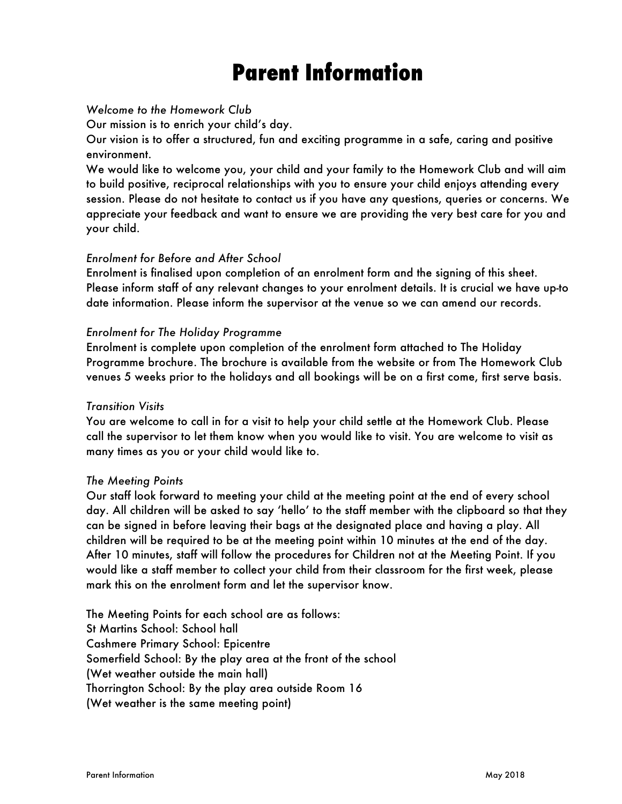# **Parent Information**

# *Welcome to the Homework Club*

Our mission is to enrich your child's day.

Our vision is to offer a structured, fun and exciting programme in a safe, caring and positive environment.

We would like to welcome you, your child and your family to the Homework Club and will aim to build positive, reciprocal relationships with you to ensure your child enjoys attending every session. Please do not hesitate to contact us if you have any questions, queries or concerns. We appreciate your feedback and want to ensure we are providing the very best care for you and your child.

# *Enrolment for Before and After School*

Enrolment is finalised upon completion of an enrolment form and the signing of this sheet. Please inform staff of any relevant changes to your enrolment details. It is crucial we have up-to date information. Please inform the supervisor at the venue so we can amend our records.

# *Enrolment for The Holiday Programme*

Enrolment is complete upon completion of the enrolment form attached to The Holiday Programme brochure. The brochure is available from the website or from The Homework Club venues 5 weeks prior to the holidays and all bookings will be on a first come, first serve basis.

# *Transition Visits*

You are welcome to call in for a visit to help your child settle at the Homework Club. Please call the supervisor to let them know when you would like to visit. You are welcome to visit as many times as you or your child would like to.

# *The Meeting Points*

Our staff look forward to meeting your child at the meeting point at the end of every school day. All children will be asked to say 'hello' to the staff member with the clipboard so that they can be signed in before leaving their bags at the designated place and having a play. All children will be required to be at the meeting point within 10 minutes at the end of the day. After 10 minutes, staff will follow the procedures for Children not at the Meeting Point. If you would like a staff member to collect your child from their classroom for the first week, please mark this on the enrolment form and let the supervisor know.

The Meeting Points for each school are as follows: St Martins School: School hall Cashmere Primary School: Epicentre Somerfield School: By the play area at the front of the school (Wet weather outside the main hall) Thorrington School: By the play area outside Room 16 (Wet weather is the same meeting point)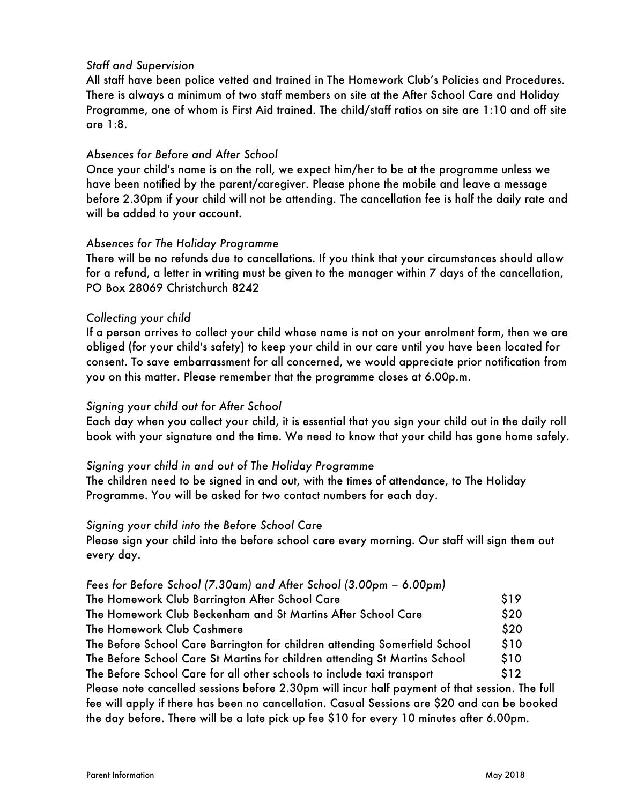# *Staff and Supervision*

All staff have been police vetted and trained in The Homework Club's Policies and Procedures. There is always a minimum of two staff members on site at the After School Care and Holiday Programme, one of whom is First Aid trained. The child/staff ratios on site are 1:10 and off site are 1:8.

# *Absences for Before and After School*

Once your child's name is on the roll, we expect him/her to be at the programme unless we have been notified by the parent/caregiver. Please phone the mobile and leave a message before 2.30pm if your child will not be attending. The cancellation fee is half the daily rate and will be added to your account.

# *Absences for The Holiday Programme*

There will be no refunds due to cancellations. If you think that your circumstances should allow for a refund, a letter in writing must be given to the manager within 7 days of the cancellation, PO Box 28069 Christchurch 8242

# *Collecting your child*

If a person arrives to collect your child whose name is not on your enrolment form, then we are obliged (for your child's safety) to keep your child in our care until you have been located for consent. To save embarrassment for all concerned, we would appreciate prior notification from you on this matter. Please remember that the programme closes at 6.00p.m.

# *Signing your child out for After School*

Each day when you collect your child, it is essential that you sign your child out in the daily roll book with your signature and the time. We need to know that your child has gone home safely.

# *Signing your child in and out of The Holiday Programme*

The children need to be signed in and out, with the times of attendance, to The Holiday Programme. You will be asked for two contact numbers for each day.

# *Signing your child into the Before School Care*

Please sign your child into the before school care every morning. Our staff will sign them out every day.

# *Fees for Before School (7.30am) and After School (3.00pm – 6.00pm)*

| The Homework Club Barrington After School Care                                                 | \$19            |
|------------------------------------------------------------------------------------------------|-----------------|
| The Homework Club Beckenham and St Martins After School Care                                   | \$20            |
| The Homework Club Cashmere                                                                     | \$20            |
| The Before School Care Barrington for children attending Somerfield School                     | \$10            |
| The Before School Care St Martins for children attending St Martins School                     | \$10            |
| The Before School Care for all other schools to include taxi transport                         | S <sub>12</sub> |
| Please note cancelled sessions before 2.30pm will incur half payment of that session. The full |                 |
| fee will apply if there has been no cancellation. Casual Sessions are \$20 and can be booked   |                 |
| the day before. There will be a late pick up fee \$10 for every 10 minutes after 6.00pm.       |                 |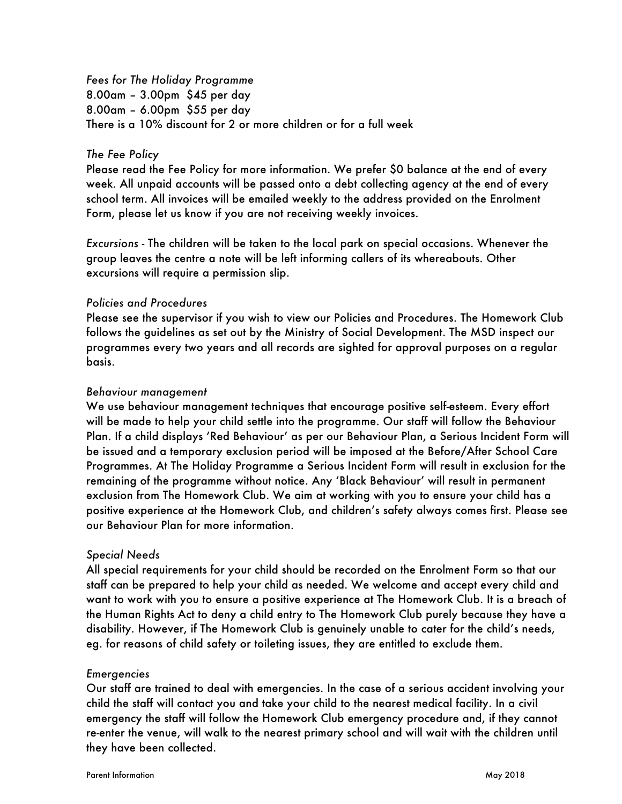*Fees for The Holiday Programme* 8.00am – 3.00pm \$45 per day 8.00am – 6.00pm \$55 per day There is a 10% discount for 2 or more children or for a full week

# *The Fee Policy*

Please read the Fee Policy for more information. We prefer \$0 balance at the end of every week. All unpaid accounts will be passed onto a debt collecting agency at the end of every school term. All invoices will be emailed weekly to the address provided on the Enrolment Form, please let us know if you are not receiving weekly invoices.

*Excursions* - The children will be taken to the local park on special occasions. Whenever the group leaves the centre a note will be left informing callers of its whereabouts. Other excursions will require a permission slip.

#### *Policies and Procedures*

Please see the supervisor if you wish to view our Policies and Procedures. The Homework Club follows the guidelines as set out by the Ministry of Social Development. The MSD inspect our programmes every two years and all records are sighted for approval purposes on a regular basis.

#### *Behaviour management*

We use behaviour management techniques that encourage positive self-esteem. Every effort will be made to help your child settle into the programme. Our staff will follow the Behaviour Plan. If a child displays 'Red Behaviour' as per our Behaviour Plan, a Serious Incident Form will be issued and a temporary exclusion period will be imposed at the Before/After School Care Programmes. At The Holiday Programme a Serious Incident Form will result in exclusion for the remaining of the programme without notice. Any 'Black Behaviour' will result in permanent exclusion from The Homework Club. We aim at working with you to ensure your child has a positive experience at the Homework Club, and children's safety always comes first. Please see our Behaviour Plan for more information.

# *Special Needs*

All special requirements for your child should be recorded on the Enrolment Form so that our staff can be prepared to help your child as needed. We welcome and accept every child and want to work with you to ensure a positive experience at The Homework Club. It is a breach of the Human Rights Act to deny a child entry to The Homework Club purely because they have a disability. However, if The Homework Club is genuinely unable to cater for the child's needs, eg. for reasons of child safety or toileting issues, they are entitled to exclude them.

#### *Emergencies*

Our staff are trained to deal with emergencies. In the case of a serious accident involving your child the staff will contact you and take your child to the nearest medical facility. In a civil emergency the staff will follow the Homework Club emergency procedure and, if they cannot re-enter the venue, will walk to the nearest primary school and will wait with the children until they have been collected.